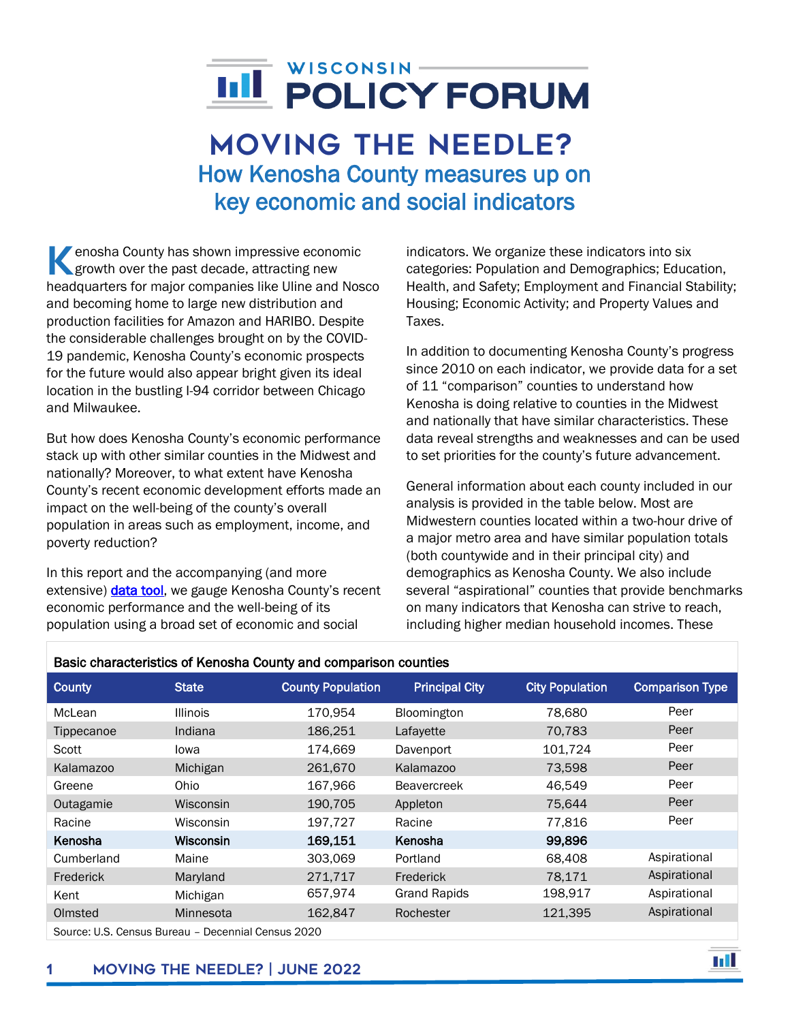# í

# Moving the Needle? How Kenosha County measures up on key economic and social indicators

enosha County has shown impressive economic **K** enosha County has shown impressive economy<br>growth over the past decade, attracting new headquarters for major companies like Uline and Nosco and becoming home to large new distribution and production facilities for Amazon and HARIBO. Despite the considerable challenges brought on by the COVID-19 pandemic, Kenosha County's economic prospects for the future would also appear bright given its ideal location in the bustling I-94 corridor between Chicago and Milwaukee.

But how does Kenosha County's economic performance stack up with other similar counties in the Midwest and nationally? Moreover, to what extent have Kenosha County's recent economic development efforts made an impact on the well-being of the county's overall population in areas such as employment, income, and poverty reduction?

In this report and the accompanying (and more extensive) **data tool**, we gauge Kenosha County's recent economic performance and the well-being of its population using a broad set of economic and social

indicators. We organize these indicators into six categories: Population and Demographics; Education, Health, and Safety; Employment and Financial Stability; Housing; Economic Activity; and Property Values and Taxes.

In addition to documenting Kenosha County's progress since 2010 on each indicator, we provide data for a set of 11 "comparison" counties to understand how Kenosha is doing relative to counties in the Midwest and nationally that have similar characteristics. These data reveal strengths and weaknesses and can be used to set priorities for the county's future advancement.

General information about each county included in our analysis is provided in the table below. Most are Midwestern counties located within a two-hour drive of a major metro area and have similar population totals (both countywide and in their principal city) and demographics as Kenosha County. We also include several "aspirational" counties that provide benchmarks on many indicators that Kenosha can strive to reach, including higher median household incomes. These

| <b>David Undianally Indian University County and Companion Tournals</b> |                 |                          |                       |                        |                        |
|-------------------------------------------------------------------------|-----------------|--------------------------|-----------------------|------------------------|------------------------|
| <b>County</b>                                                           | <b>State</b>    | <b>County Population</b> | <b>Principal City</b> | <b>City Population</b> | <b>Comparison Type</b> |
| McLean                                                                  | <b>Illinois</b> | 170.954                  | Bloomington           | 78,680                 | Peer                   |
| Tippecanoe                                                              | Indiana         | 186,251                  | Lafayette             | 70,783                 | Peer                   |
| Scott                                                                   | lowa            | 174.669                  | Davenport             | 101,724                | Peer                   |
| Kalamazoo                                                               | Michigan        | 261,670                  | Kalamazoo             | 73,598                 | Peer                   |
| Greene                                                                  | <b>Ohio</b>     | 167,966                  | <b>Beavercreek</b>    | 46.549                 | Peer                   |
| Outagamie                                                               | Wisconsin       | 190,705                  | Appleton              | 75,644                 | Peer                   |
| Racine                                                                  | Wisconsin       | 197,727                  | Racine                | 77,816                 | Peer                   |
| Kenosha                                                                 | Wisconsin       | 169,151                  | Kenosha               | 99,896                 |                        |
| Cumberland                                                              | Maine           | 303.069                  | Portland              | 68.408                 | Aspirational           |
| <b>Frederick</b>                                                        | Maryland        | 271,717                  | Frederick             | 78,171                 | Aspirational           |
| Kent                                                                    | Michigan        | 657,974                  | <b>Grand Rapids</b>   | 198,917                | Aspirational           |
| Olmsted                                                                 | Minnesota       | 162,847                  | Rochester             | 121,395                | Aspirational           |
| Source: U.S. Census Bureau - Decennial Census 2020                      |                 |                          |                       |                        |                        |

# Basic characteristics of Kenosha County and comparison counties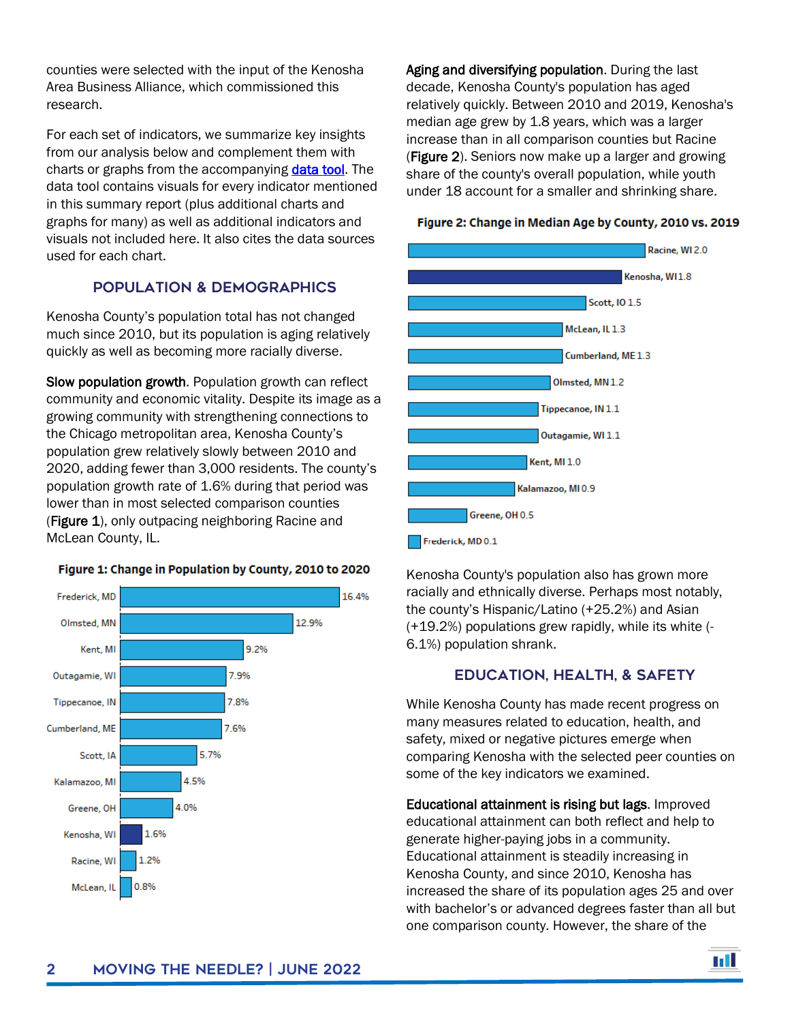counties were selected with the input of the Kenosha Area Business Alliance, which commissioned this research.

For each set of indicators, we summarize key insights from our analysis below and complement them with charts or graphs from the accompanying **data tool**. The data tool contains visuals for every indicator mentioned in this summary report (plus additional charts and graphs for many) as well as additional indicators and visuals not included here. It also cites the data sources used for each chart.

# Population & Demographics

Kenosha County's population total has not changed much since 2010, but its population is aging relatively quickly as well as becoming more racially diverse.

Slow population growth. Population growth can reflect community and economic vitality. Despite its image as a growing community with strengthening connections to the Chicago metropolitan area, Kenosha County's population grew relatively slowly between 2010 and 2020, adding fewer than 3,000 residents. The county's population growth rate of 1.6% during that period was lower than in most selected comparison counties (Figure 1), only outpacing neighboring Racine and McLean County, IL.

#### Figure 1: Change in Population by County, 2010 to 2020



Aging and diversifying population. During the last decade, Kenosha County's population has aged relatively quickly. Between 2010 and 2019, Kenosha's median age grew by 1.8 years, which was a larger increase than in all comparison counties but Racine (Figure 2). Seniors now make up a larger and growing share of the county's overall population, while youth under 18 account for a smaller and shrinking share.

Figure 2: Change in Median Age by County, 2010 vs. 2019



Kenosha County's population also has grown more racially and ethnically diverse. Perhaps most notably, the county's Hispanic/Latino (+25.2%) and Asian (+19.2%) populations grew rapidly, while its white (- 6.1%) population shrank.

# Education, Health, & Safety

While Kenosha County has made recent progress on many measures related to education, health, and safety, mixed or negative pictures emerge when comparing Kenosha with the selected peer counties on some of the key indicators we examined.

Educational attainment is rising but lags. Improved educational attainment can both reflect and help to generate higher-paying jobs in a community. Educational attainment is steadily increasing in Kenosha County, and since 2010, Kenosha has increased the share of its population ages 25 and over with bachelor's or advanced degrees faster than all but one comparison county. However, the share of the

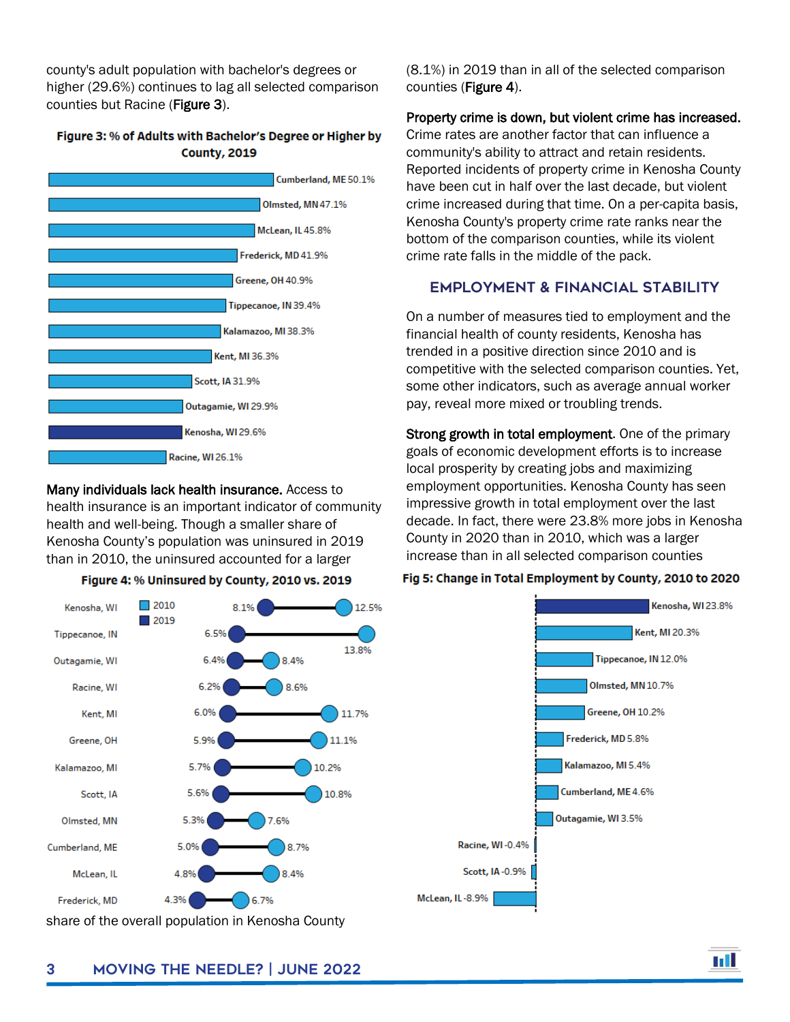county's adult population with bachelor's degrees or higher (29.6%) continues to lag all selected comparison counties but Racine (Figure 3).

# Figure 3: % of Adults with Bachelor's Degree or Higher by **County, 2019**



Many individuals lack health insurance. Access to health insurance is an important indicator of community health and well-being. Though a smaller share of Kenosha County's population was uninsured in 2019 than in 2010, the uninsured accounted for a larger

#### Figure 4: % Uninsured by County, 2010 vs. 2019



share of the overall population in Kenosha County

(8.1%) in 2019 than in all of the selected comparison counties (Figure 4).

#### Property crime is down, but violent crime has increased.

Crime rates are another factor that can influence a community's ability to attract and retain residents. Reported incidents of property crime in Kenosha County have been cut in half over the last decade, but violent crime increased during that time. On a per-capita basis, Kenosha County's property crime rate ranks near the bottom of the comparison counties, while its violent crime rate falls in the middle of the pack.

# Employment & Financial Stability

On a number of measures tied to employment and the financial health of county residents, Kenosha has trended in a positive direction since 2010 and is competitive with the selected comparison counties. Yet, some other indicators, such as average annual worker pay, reveal more mixed or troubling trends.

Strong growth in total employment. One of the primary goals of economic development efforts is to increase local prosperity by creating jobs and maximizing employment opportunities. Kenosha County has seen impressive growth in total employment over the last decade. In fact, there were 23.8% more jobs in Kenosha County in 2020 than in 2010, which was a larger increase than in all selected comparison counties

#### Fig 5: Change in Total Employment by County, 2010 to 2020

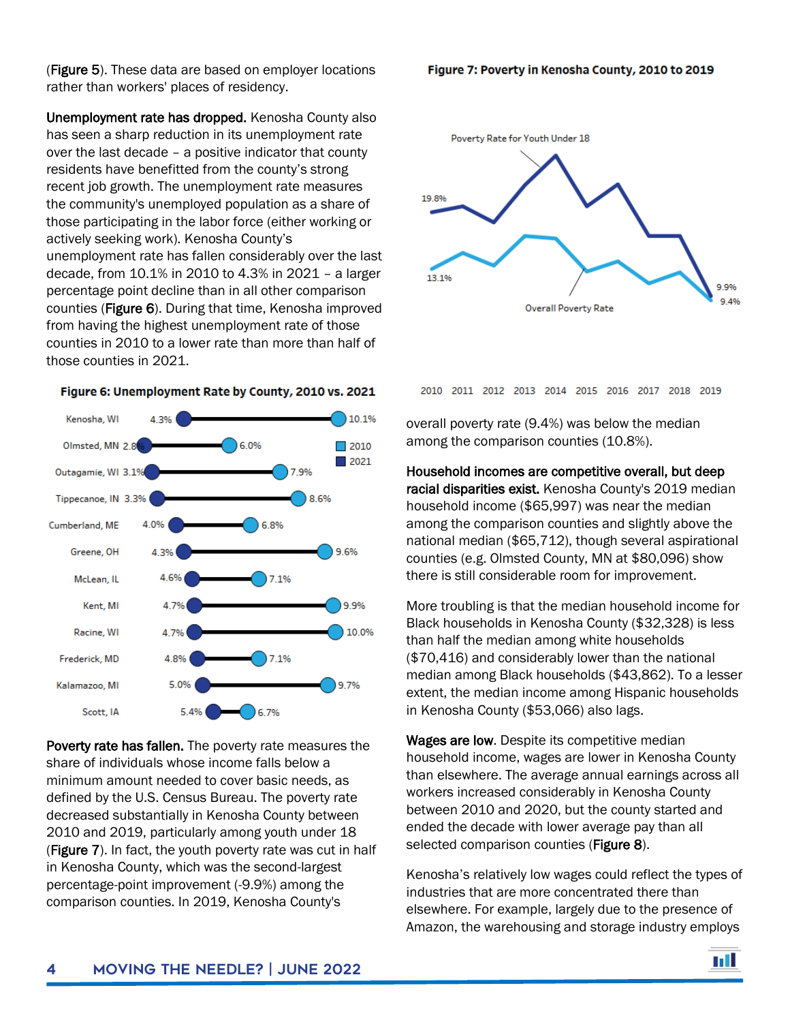Figure 7: Poverty in Kenosha County, 2010 to 2019

Poverty Rate for Youth Under 18

19.8%

13.1%

(Figure 5). These data are based on employer locations rather than workers' places of residency.

Unemployment rate has dropped. Kenosha County also has seen a sharp reduction in its unemployment rate over the last decade – a positive indicator that county residents have benefitted from the county's strong recent job growth. The unemployment rate measures the community's unemployed population as a share of those participating in the labor force (either working or actively seeking work). Kenosha County's unemployment rate has fallen considerably over the last decade, from 10.1% in 2010 to 4.3% in 2021 – a larger percentage point decline than in all other comparison counties (Figure 6). During that time, Kenosha improved from having the highest unemployment rate of those counties in 2010 to a lower rate than more than half of those counties in 2021.



Figure 6: Unemployment Rate by County, 2010 vs. 2021

Poverty rate has fallen. The poverty rate measures the share of individuals whose income falls below a minimum amount needed to cover basic needs, as defined by the U.S. Census Bureau. The poverty rate decreased substantially in Kenosha County between 2010 and 2019, particularly among youth under 18 (Figure 7). In fact, the youth poverty rate was cut in half in Kenosha County, which was the second-largest percentage-point improvement (-9.9%) among the comparison counties. In 2019, Kenosha County's



2010 2011 2012 2013 2014 2015 2016 2017 2018 2019

**Overall Poverty Rate** 

overall poverty rate (9.4%) was below the median

among the comparison counties (10.8%).

Household incomes are competitive overall, but deep racial disparities exist. Kenosha County's 2019 median household income (\$65,997) was near the median among the comparison counties and slightly above the national median (\$65,712), though several aspirational counties (e.g. Olmsted County, MN at \$80,096) show there is still considerable room for improvement.

More troubling is that the median household income for Black households in Kenosha County (\$32,328) is less than half the median among white households (\$70,416) and considerably lower than the national median among Black households (\$43,862). To a lesser extent, the median income among Hispanic households in Kenosha County (\$53,066) also lags.

Wages are low. Despite its competitive median household income, wages are lower in Kenosha County than elsewhere. The average annual earnings across all workers increased considerably in Kenosha County between 2010 and 2020, but the county started and ended the decade with lower average pay than all selected comparison counties (Figure 8).

Kenosha's relatively low wages could reflect the types of industries that are more concentrated there than elsewhere. For example, largely due to the presence of Amazon, the warehousing and storage industry employs



9.9%  $9.4%$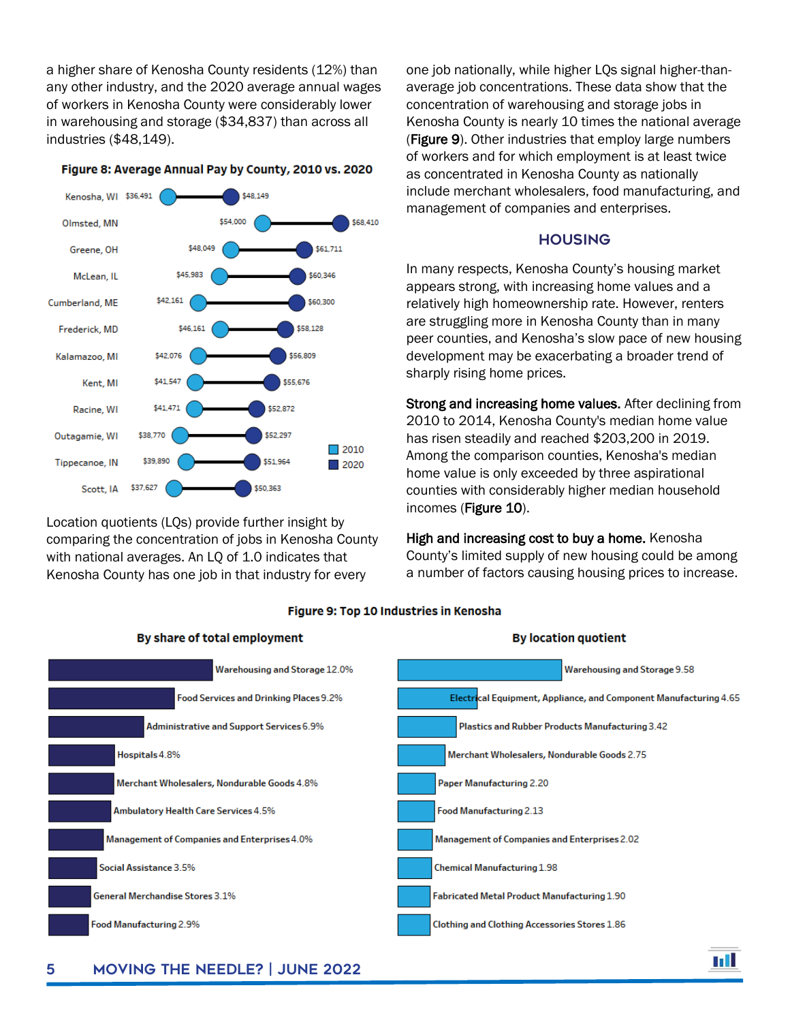a higher share of Kenosha County residents (12%) than any other industry, and the 2020 average annual wages of workers in Kenosha County were considerably lower in warehousing and storage (\$34,837) than across all industries (\$48,149).





Location quotients (LQs) provide further insight by comparing the concentration of jobs in Kenosha County with national averages. An LO of 1.0 indicates that Kenosha County has one job in that industry for every

one job nationally, while higher LQs signal higher-thanaverage job concentrations. These data show that the concentration of warehousing and storage jobs in Kenosha County is nearly 10 times the national average (Figure 9). Other industries that employ large numbers of workers and for which employment is at least twice as concentrated in Kenosha County as nationally include merchant wholesalers, food manufacturing, and management of companies and enterprises.

## **HOUSING**

In many respects, Kenosha County's housing market appears strong, with increasing home values and a relatively high homeownership rate. However, renters are struggling more in Kenosha County than in many peer counties, and Kenosha's slow pace of new housing development may be exacerbating a broader trend of sharply rising home prices.

Strong and increasing home values. After declining from 2010 to 2014, Kenosha County's median home value has risen steadily and reached \$203,200 in 2019. Among the comparison counties, Kenosha's median home value is only exceeded by three aspirational counties with considerably higher median household incomes (Figure 10).

High and increasing cost to buy a home. Kenosha County's limited supply of new housing could be among a number of factors causing housing prices to increase.



#### Figure 9: Top 10 Industries in Kenosha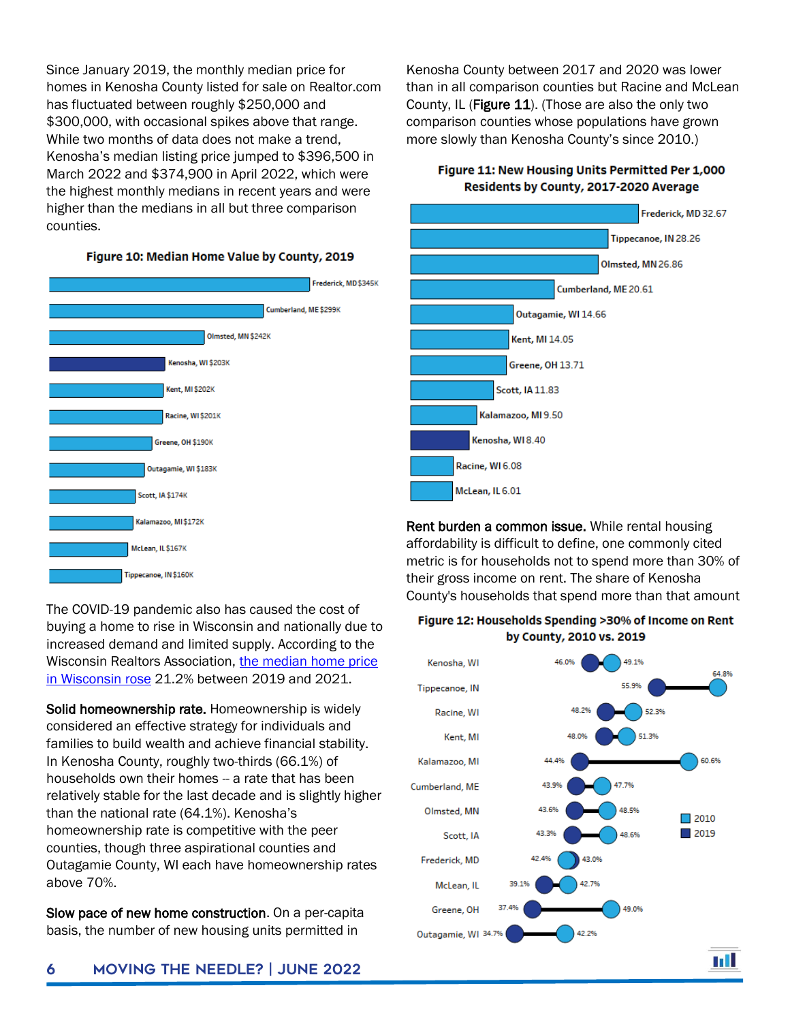Since January 2019, the monthly median price for homes in Kenosha County listed for sale on Realtor.com has fluctuated between roughly \$250,000 and \$300,000, with occasional spikes above that range. While two months of data does not make a trend, Kenosha's median listing price jumped to \$396,500 in March 2022 and \$374,900 in April 2022, which were the highest monthly medians in recent years and were higher than the medians in all but three comparison counties.





The COVID-19 pandemic also has caused the cost of buying a home to rise in Wisconsin and nationally due to increased demand and limited supply. According to the Wisconsin Realtors Association, [the median home price](https://www.wra.org/Resources/Property/Wisconsin_Housing_Statistics/) [in Wisconsin rose](https://www.wra.org/Resources/Property/Wisconsin_Housing_Statistics/) 21.2% between 2019 and 2021.

Solid homeownership rate. Homeownership is widely considered an effective strategy for individuals and families to build wealth and achieve financial stability. In Kenosha County, roughly two-thirds (66.1%) of households own their homes -- a rate that has been relatively stable for the last decade and is slightly higher than the national rate (64.1%). Kenosha's homeownership rate is competitive with the peer counties, though three aspirational counties and Outagamie County, WI each have homeownership rates above 70%.

Slow pace of new home construction. On a per-capita basis, the number of new housing units permitted in

Kenosha County between 2017 and 2020 was lower than in all comparison counties but Racine and McLean County, IL (Figure 11). (Those are also the only two comparison counties whose populations have grown more slowly than Kenosha County's since 2010.)

# Figure 11: New Housing Units Permitted Per 1,000 Residents by County, 2017-2020 Average



Rent burden a common issue. While rental housing affordability is difficult to define, one commonly cited metric is for households not to spend more than 30% of their gross income on rent. The share of Kenosha County's households that spend more than that amount



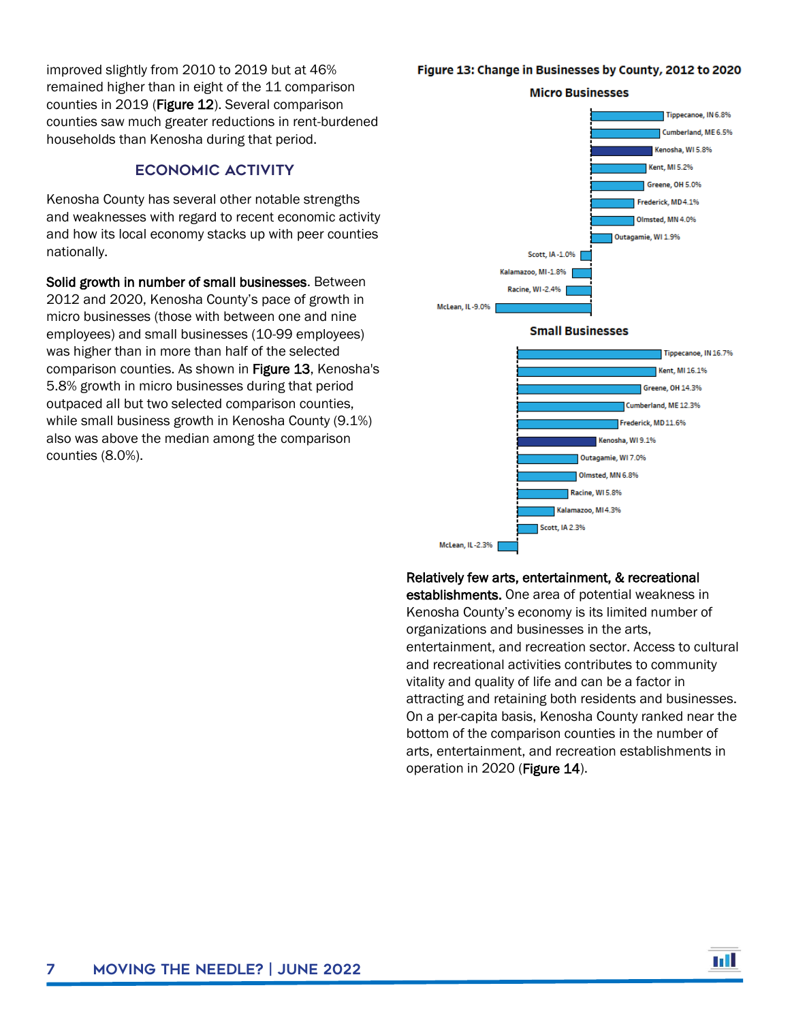improved slightly from 2010 to 2019 but at 46% remained higher than in eight of the 11 comparison counties in 2019 (Figure 12). Several comparison counties saw much greater reductions in rent-burdened households than Kenosha during that period.

# Economic Activity

Kenosha County has several other notable strengths and weaknesses with regard to recent economic activity and how its local economy stacks up with peer counties nationally.

Solid growth in number of small businesses. Between 2012 and 2020, Kenosha County's pace of growth in micro businesses (those with between one and nine employees) and small businesses (10-99 employees) was higher than in more than half of the selected comparison counties. As shown in Figure 13, Kenosha's 5.8% growth in micro businesses during that period outpaced all but two selected comparison counties, while small business growth in Kenosha County (9.1%) also was above the median among the comparison counties (8.0%).

#### Figure 13: Change in Businesses by County, 2012 to 2020



Frederick, MD 11.6%

Kenosha, WI 9.1% Outagamie, WI 7.0% Olmsted, MN 6.8% Racine, WI 5.8% Kalamazoo, MI4.3%

# Relatively few arts, entertainment, & recreational

McLean, IL-2.3%

Scott, IA 2.3%

establishments. One area of potential weakness in Kenosha County's economy is its limited number of organizations and businesses in the arts, entertainment, and recreation sector. Access to cultural and recreational activities contributes to community vitality and quality of life and can be a factor in attracting and retaining both residents and businesses. On a per-capita basis, Kenosha County ranked near the bottom of the comparison counties in the number of arts, entertainment, and recreation establishments in operation in 2020 (Figure 14).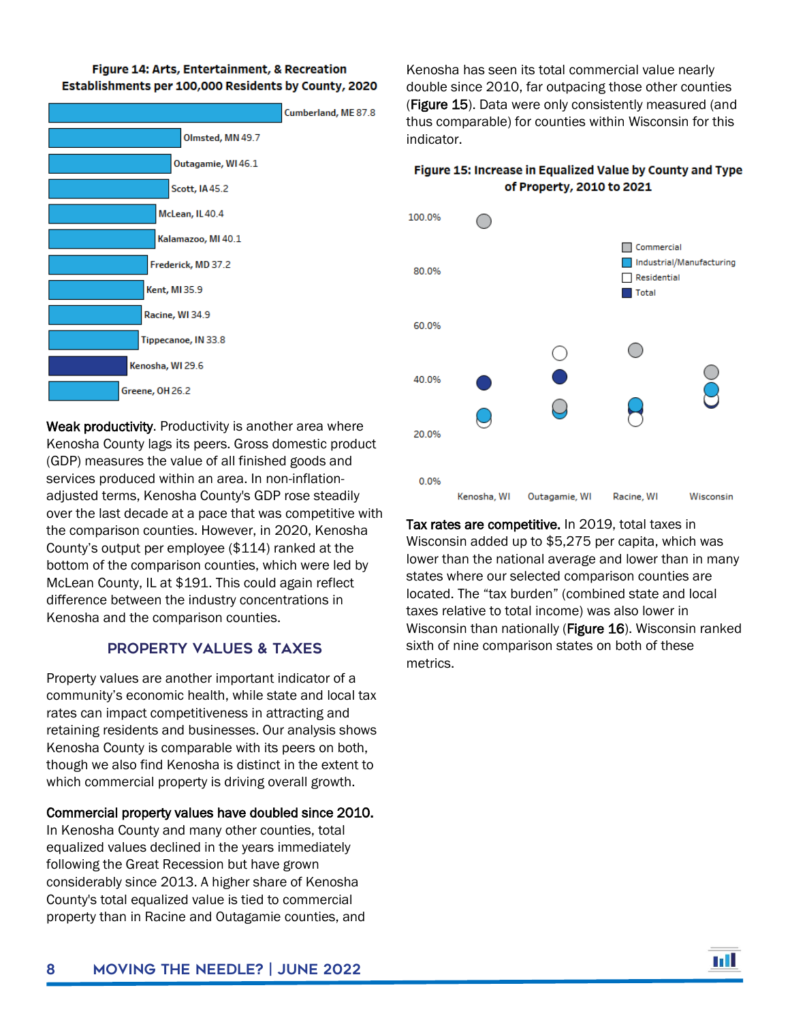## Figure 14: Arts, Entertainment, & Recreation Establishments per 100,000 Residents by County, 2020



Weak productivity. Productivity is another area where Kenosha County lags its peers. Gross domestic product (GDP) measures the value of all finished goods and services produced within an area. In non-inflationadjusted terms, Kenosha County's GDP rose steadily over the last decade at a pace that was competitive with the comparison counties. However, in 2020, Kenosha County's output per employee (\$114) ranked at the bottom of the comparison counties, which were led by McLean County, IL at \$191. This could again reflect difference between the industry concentrations in Kenosha and the comparison counties.

# Property Values & Taxes

Property values are another important indicator of a community's economic health, while state and local tax rates can impact competitiveness in attracting and retaining residents and businesses. Our analysis shows Kenosha County is comparable with its peers on both, though we also find Kenosha is distinct in the extent to which commercial property is driving overall growth.

# Commercial property values have doubled since 2010.

In Kenosha County and many other counties, total equalized values declined in the years immediately following the Great Recession but have grown considerably since 2013. A higher share of Kenosha County's total equalized value is tied to commercial property than in Racine and Outagamie counties, and

Kenosha has seen its total commercial value nearly double since 2010, far outpacing those other counties (Figure 15). Data were only consistently measured (and thus comparable) for counties within Wisconsin for this indicator.

# Figure 15: Increase in Equalized Value by County and Type of Property, 2010 to 2021



Tax rates are competitive. In 2019, total taxes in Wisconsin added up to \$5,275 per capita, which was lower than the national average and lower than in many states where our selected comparison counties are located. The "tax burden" (combined state and local taxes relative to total income) was also lower in Wisconsin than nationally (Figure 16). Wisconsin ranked sixth of nine comparison states on both of these metrics.